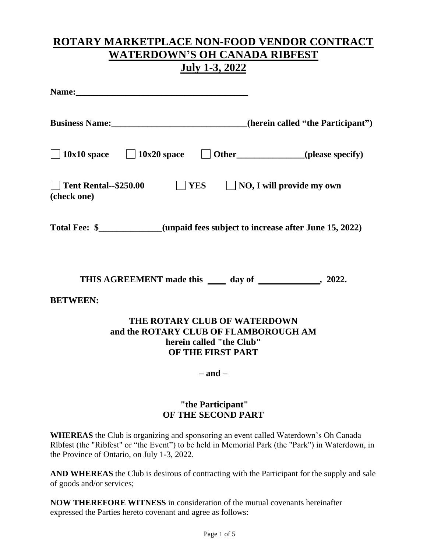## **ROTARY MARKETPLACE NON-FOOD VENDOR CONTRACT WATERDOWN'S OH CANADA RIBFEST July 1-3, 2022**

| Name:                                                                                                                                                    |
|----------------------------------------------------------------------------------------------------------------------------------------------------------|
| Business Name: (herein called "the Participant")                                                                                                         |
| $\Box$ 10x10 space $\Box$ 10x20 space $\Box$ Other (please specify)                                                                                      |
| $\blacksquare$ YES<br>$\Box$ NO, I will provide my own<br>  Tent Rental--\$250.00<br>(check one)                                                         |
| Total Fee: \$___________(unpaid fees subject to increase after June 15, 2022)                                                                            |
| THIS AGREEMENT made this _____ day of ______________, 2022.                                                                                              |
| <b>BETWEEN:</b><br>THE ROTARY CLUB OF WATERDOWN<br>and the ROTARY CLUB OF FLAMBOROUGH AM<br>herein called "the Club"<br>OF THE FIRST PART<br>$-$ and $-$ |
| "the Participant"<br>OF THE SECOND PART                                                                                                                  |
| <b>WITEDEAC</b> de $O_{n-1}$ , is executed as a demonstration of second a 11.4 Web of second $O_{n}$ . On $O_{n-1}$ ,                                    |

**WHEREAS** the Club is organizing and sponsoring an event called Waterdown's Oh Canada Ribfest (the "Ribfest" or "the Event") to be held in Memorial Park (the "Park") in Waterdown, in the Province of Ontario, on July 1-3, 2022.

**AND WHEREAS** the Club is desirous of contracting with the Participant for the supply and sale of goods and/or services;

**NOW THEREFORE WITNESS** in consideration of the mutual covenants hereinafter expressed the Parties hereto covenant and agree as follows: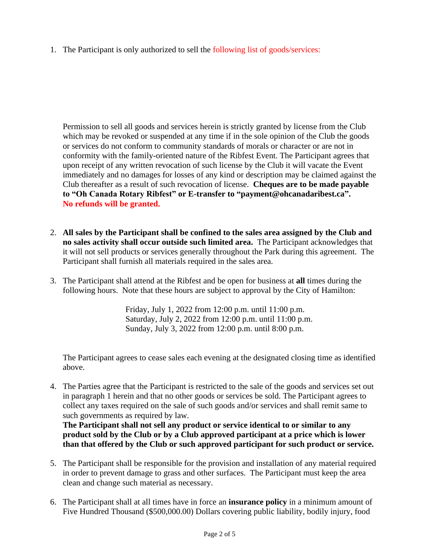1. The Participant is only authorized to sell the following list of goods/services:

Permission to sell all goods and services herein is strictly granted by license from the Club which may be revoked or suspended at any time if in the sole opinion of the Club the goods or services do not conform to community standards of morals or character or are not in conformity with the family-oriented nature of the Ribfest Event. The Participant agrees that upon receipt of any written revocation of such license by the Club it will vacate the Event immediately and no damages for losses of any kind or description may be claimed against the Club thereafter as a result of such revocation of license. **Cheques are to be made payable to "Oh Canada Rotary Ribfest" or E-transfer to "payment@ohcanadaribest.ca". No refunds will be granted.** 

- 2. **All sales by the Participant shall be confined to the sales area assigned by the Club and no sales activity shall occur outside such limited area.** The Participant acknowledges that it will not sell products or services generally throughout the Park during this agreement. The Participant shall furnish all materials required in the sales area.
- 3. The Participant shall attend at the Ribfest and be open for business at **all** times during the following hours. Note that these hours are subject to approval by the City of Hamilton:

Friday, July 1, 2022 from 12:00 p.m. until 11:00 p.m. Saturday, July 2, 2022 from 12:00 p.m. until 11:00 p.m. Sunday, July 3, 2022 from 12:00 p.m. until 8:00 p.m.

The Participant agrees to cease sales each evening at the designated closing time as identified above.

4. The Parties agree that the Participant is restricted to the sale of the goods and services set out in paragraph 1 herein and that no other goods or services be sold. The Participant agrees to collect any taxes required on the sale of such goods and/or services and shall remit same to such governments as required by law.

**The Participant shall not sell any product or service identical to or similar to any product sold by the Club or by a Club approved participant at a price which is lower than that offered by the Club or such approved participant for such product or service.**

- 5. The Participant shall be responsible for the provision and installation of any material required in order to prevent damage to grass and other surfaces. The Participant must keep the area clean and change such material as necessary.
- 6. The Participant shall at all times have in force an **insurance policy** in a minimum amount of Five Hundred Thousand (\$500,000.00) Dollars covering public liability, bodily injury, food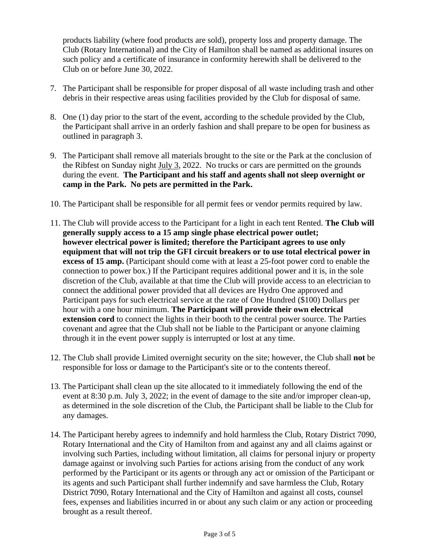products liability (where food products are sold), property loss and property damage. The Club (Rotary International) and the City of Hamilton shall be named as additional insures on such policy and a certificate of insurance in conformity herewith shall be delivered to the Club on or before June 30, 2022.

- 7. The Participant shall be responsible for proper disposal of all waste including trash and other debris in their respective areas using facilities provided by the Club for disposal of same.
- 8. One (1) day prior to the start of the event, according to the schedule provided by the Club, the Participant shall arrive in an orderly fashion and shall prepare to be open for business as outlined in paragraph 3.
- 9. The Participant shall remove all materials brought to the site or the Park at the conclusion of the Ribfest on Sunday night July 3, 2022. No trucks or cars are permitted on the grounds during the event. **The Participant and his staff and agents shall not sleep overnight or camp in the Park. No pets are permitted in the Park.**
- 10. The Participant shall be responsible for all permit fees or vendor permits required by law.
- 11. The Club will provide access to the Participant for a light in each tent Rented. **The Club will generally supply access to a 15 amp single phase electrical power outlet; however electrical power is limited; therefore the Participant agrees to use only equipment that will not trip the GFI circuit breakers or to use total electrical power in excess of 15 amp.** (Participant should come with at least a 25-foot power cord to enable the connection to power box.) If the Participant requires additional power and it is, in the sole discretion of the Club, available at that time the Club will provide access to an electrician to connect the additional power provided that all devices are Hydro One approved and Participant pays for such electrical service at the rate of One Hundred (\$100) Dollars per hour with a one hour minimum. **The Participant will provide their own electrical extension cord** to connect the lights in their booth to the central power source. The Parties covenant and agree that the Club shall not be liable to the Participant or anyone claiming through it in the event power supply is interrupted or lost at any time.
- 12. The Club shall provide Limited overnight security on the site; however, the Club shall **not** be responsible for loss or damage to the Participant's site or to the contents thereof.
- 13. The Participant shall clean up the site allocated to it immediately following the end of the event at 8:30 p.m. July 3, 2022; in the event of damage to the site and/or improper clean-up, as determined in the sole discretion of the Club, the Participant shall be liable to the Club for any damages.
- 14. The Participant hereby agrees to indemnify and hold harmless the Club, Rotary District 7090, Rotary International and the City of Hamilton from and against any and all claims against or involving such Parties, including without limitation, all claims for personal injury or property damage against or involving such Parties for actions arising from the conduct of any work performed by the Participant or its agents or through any act or omission of the Participant or its agents and such Participant shall further indemnify and save harmless the Club, Rotary District **7**090, Rotary International and the City of Hamilton and against all costs, counsel fees, expenses and liabilities incurred in or about any such claim or any action or proceeding brought as a result thereof.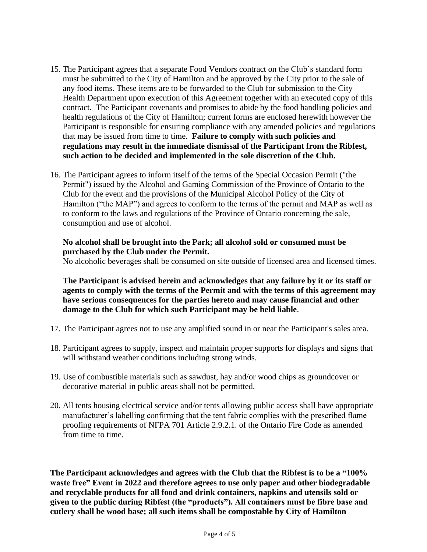- 15. The Participant agrees that a separate Food Vendors contract on the Club's standard form must be submitted to the City of Hamilton and be approved by the City prior to the sale of any food items. These items are to be forwarded to the Club for submission to the City Health Department upon execution of this Agreement together with an executed copy of this contract. The Participant covenants and promises to abide by the food handling policies and health regulations of the City of Hamilton; current forms are enclosed herewith however the Participant is responsible for ensuring compliance with any amended policies and regulations that may be issued from time to time. **Failure to comply with such policies and regulations may result in the immediate dismissal of the Participant from the Ribfest, such action to be decided and implemented in the sole discretion of the Club.**
- 16. The Participant agrees to inform itself of the terms of the Special Occasion Permit ("the Permit") issued by the Alcohol and Gaming Commission of the Province of Ontario to the Club for the event and the provisions of the Municipal Alcohol Policy of the City of Hamilton ("the MAP") and agrees to conform to the terms of the permit and MAP as well as to conform to the laws and regulations of the Province of Ontario concerning the sale, consumption and use of alcohol.

## **No alcohol shall be brought into the Park; all alcohol sold or consumed must be purchased by the Club under the Permit.**

No alcoholic beverages shall be consumed on site outside of licensed area and licensed times.

**The Participant is advised herein and acknowledges that any failure by it or its staff or agents to comply with the terms of the Permit and with the terms of this agreement may have serious consequences for the parties hereto and may cause financial and other damage to the Club for which such Participant may be held liable**.

- 17. The Participant agrees not to use any amplified sound in or near the Participant's sales area.
- 18. Participant agrees to supply, inspect and maintain proper supports for displays and signs that will withstand weather conditions including strong winds.
- 19. Use of combustible materials such as sawdust, hay and/or wood chips as groundcover or decorative material in public areas shall not be permitted.
- 20. All tents housing electrical service and/or tents allowing public access shall have appropriate manufacturer's labelling confirming that the tent fabric complies with the prescribed flame proofing requirements of NFPA 701 Article 2.9.2.1. of the Ontario Fire Code as amended from time to time.

**The Participant acknowledges and agrees with the Club that the Ribfest is to be a "100% waste free" Event in 2022 and therefore agrees to use only paper and other biodegradable and recyclable products for all food and drink containers, napkins and utensils sold or given to the public during Ribfest (the "products"). All containers must be fibre base and cutlery shall be wood base; all such items shall be compostable by City of Hamilton**